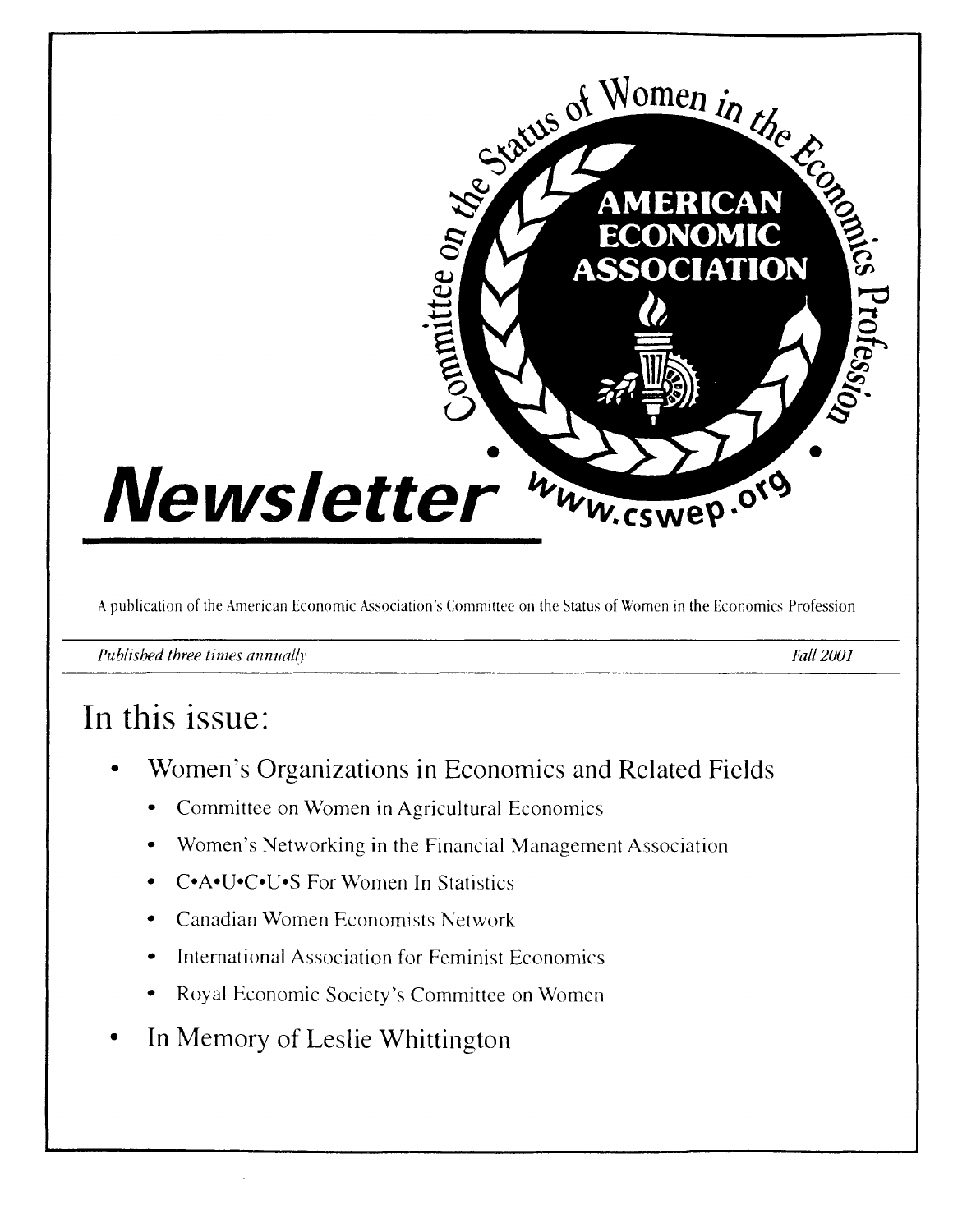

**A** publication of the American Economic hsociation's Committee on the Status of Women in the Economics Profession

*Published three times annually Fall 2001* 

# In this issue:

- Women's Organizations in Economics and Related Fields
	- Committee on Women in Agricultural Economics
	- Women's Networking in the Financial Management Association
	- C\*A\*U\*C\*U\*S For Women In Statistics
	- Canadian Women Economists Network
	- International Association for Feminist Economics
	- Royal Economic Society's Committee on Women
- In Memory of Leslie Whittington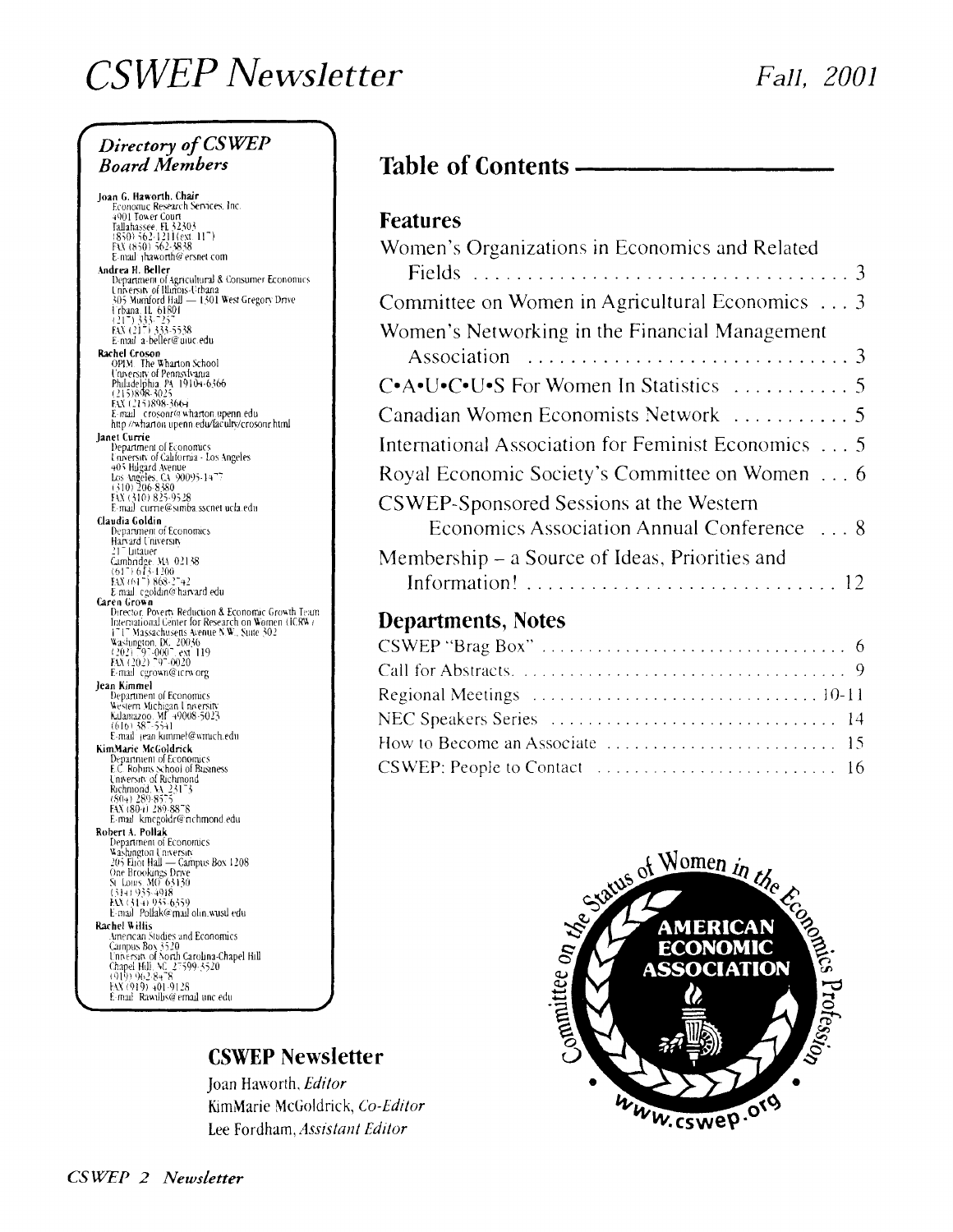# **CSWEP** Newsletter

### Directory of CSWEP **Board Members**

Joan G. Haworth, Chair<br>Economic Research Services, Inc. From The Research<br>
1901 Tower Court<br>
Tallahassee, EL 32303<br>
(850) 562-1211 (ext. 11<sup>-1</sup>)<br>
FAX (850) 562-3838<br>
E-mail | thaworth@ersnet.com E-mail: phaworth@ersnet.com<br>
Andrea H. Beller<br>
Department of Agricultural & Consumer Economics<br>
University of Illinois-Urbana<br>
305 Murdord Hall<br>
indiana, H. 61801<br>
121 1 333-255<br>
EAX (217) 333-7558<br>
EAX (217) 333-5538 E-mail a-beller@uiuc.edu E mail a-bentre ducteur<br> **Rachel Croson**<br>
OPIM. The Wharton School<br>
Unvessity of Pennsylvania<br>
Philadelphia PA 19104-6366<br>
(215)898-3025<br>
EX CLY5898-366-<br>
E-mail crosonr@wharton upenn edu<br>
http://wharton.upenn.edu/faculty/ lanet Currie Department of Economics<br>University of California - Los Angeles Unversity of California - Los Angeles<br>
405 higard Avenue<br>
Los Angeles, CA 90095-1477<br>
(310) 206-8380<br>
Fix (310) 825-9528<br>
E-mail\_currie@simba.sscnet ucla.edu **Claudia Goldin**<br>Department of Economics Harvard University Harvard Chiversity<br>
217 Lutauer<br>
Cambridge MA 02158<br>
(617) 673-1200<br>
EM (617) 868-2742<br>
E-mail cgoldin@harvard.edu Caren Grown **ren Grown**<br>Director, Poverty Reduction & Economic Growth Team<br>International Genter for Research on Women (ICRW)<br> $1^{\circ}1^{\circ}$  Massachusetts Avenue N.W., State 302<br>Washington, DC, 20036<br> $(202)^{\circ}9^{\circ}0007$ , ext. 119<br>EXC(20 E-mail cgrown@icrworg France Contract Contract Contract Contract Contract Contract Contract Contract Contract Contract Contract Contract Contract Contract Contract Contract Contract Contract Contract Contract Contract Contract Contract Contract KimMarie McGoldrick mMarie McGoldrick<br>
Department of Economics<br>
E.C. Robins School of Business<br>
University of Richmond<br>
Richmond, VA 23173<br>
(EXV (804) 289-8578<br>
E-mail kmcgoldr@nchmond.edu<br>
E-mail kmcgoldr@nchmond.edu Robert A. Pollak **bert A. Pollak**<br>
Department of Economics<br>
Vashington University<br>
205 Eliot Hall — Campus Box 1208<br>
One Brookings Drive<br>
S. Louis: Al(1)<br>
(314) 935-4918<br>
EX (314) 935-4918<br>
EX (314) 935-4918 E-mail Pollak@mail olin wusul edu E-mail Poliarko mail olin, wusu edu<br> **Rachel Willis**<br> **Amencan Stidies and Economics**<br> **Campus Box 3520**<br> **Unnessta of North Carolina-Chapel Hill**<br> **Chapel Hill SC 25599-3520**<br>
(919) 962-8478<br>
Ext (919) 401-9128 E-mail: Rawillis@email.unc.edu.

### **Table of Contents -**

#### **Features**

| Women's Organizations in Economics and Related      |
|-----------------------------------------------------|
|                                                     |
| Committee on Women in Agricultural Economics  3     |
| Women's Networking in the Financial Management      |
|                                                     |
| C•A•U•C•U•S For Women In Statistics  5              |
| Canadian Women Economists Network  5                |
| International Association for Feminist Economics  5 |
| Royal Economic Society's Committee on Women 6       |
| CSWEP-Sponsored Sessions at the Western             |
| Economics Association Annual Conference  8          |
| Membership – a Source of Ideas, Priorities and      |
|                                                     |
|                                                     |

#### **Departments, Notes**

| Regional Meetings $\ldots \ldots \ldots \ldots \ldots \ldots \ldots \ldots \ldots \ldots \ldots 10-11$ |
|--------------------------------------------------------------------------------------------------------|
|                                                                                                        |
|                                                                                                        |
| CSWEP: People to Contact $\ldots \ldots \ldots \ldots \ldots \ldots \ldots \ldots \ldots$              |

#### **CSWEP Newsletter**

Joan Haworth, Editor KimMarie McGoldrick, Co-Editor Lee Fordham, Assistant Editor

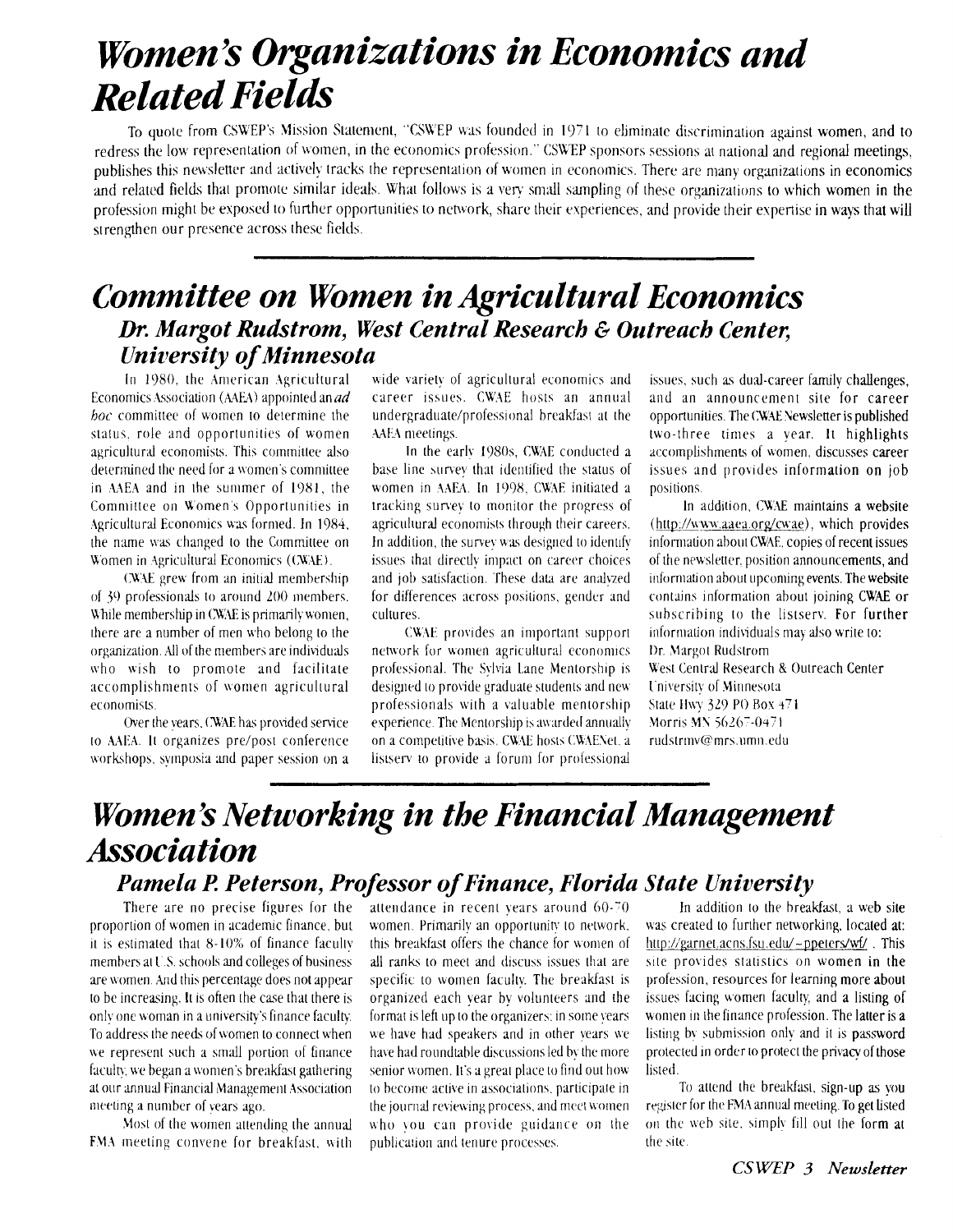# **Women's Organizations in Economics and Related Fields**

To quote from CSWEP's Mission Statement, "CSWEP was founded in 1971 to eliminate discrimination against women, and to redress the low representation of women, in the economics profession." CSWEP sponsors sessions at national and regional meetings, publishes this newsletter and actively tracks the representation of women in economics. There are many organizations in economics and related fields that promote similar ideals. What follows is a very small sampling of these organizations to which women in the profession might be exposed to further opportunities to network, share their experiences, and provide their expertise in ways that will strengthen our presence across these fields.

### **Committee on Women in Agricultural Economics** Dr. Margot Rudstrom, West Central Research & Outreach Center, **University of Minnesota**

In 1980, the American Agricultural Economics Association (AAEA) appointed an *ad* boc committee of women to determine the status, role and opportunities of women agricultural economists. This committee also determined the need for a women's committee in AAEA and in the summer of 1981, the Committee on Women's Opportunities in Agricultural Economics was formed. In 1984. the name was changed to the Committee on Women in Agricultural Economics (CWAE).

CWAE grew from an initial membership of 39 professionals to around 200 members. While membership in CWAE is primarily women, there are a number of men who belong to the organization. All of the members are individuals who wish to promote and facilitate accomplishments of women agricultural economists.

Over the vears, CWAE has provided service to AAEA. It organizes pre/post conference workshops, symposia and paper session on a wide variety of agricultural economics and career issues. CWAE hosts an annual undergraduate/professional breakfast at the AAEA meetings.

In the early 1980s, CWAE conducted a base line survey that identified the status of women in AAEA. In 1998, CWAE initiated a tracking survey to monitor the progress of agricultural economists through their careers. In addition, the survey was designed to identify issues that directly impact on career choices and job satisfaction. These data are analyzed for differences across positions, gender and cultures.

CWAE provides an important support network for women agricultural economics professional. The Sylvia Lane Mentorship is designed to provide graduate students and new professionals with a valuable mentorship experience. The Mentorship is awarded annually on a competitive basis. CWAE hosts CWAENet, a listsery to provide a forum for professional

issues, such as dual-career family challenges. and an announcement site for career opportunities. The CWAE Newsletter is published two-three times a vear. It highlights accomplishments of women, discusses career issues and provides information on job positions.

In addition, CWAE maintains a website (http://www.aaea.org/cwae), which provides information about CWAE, copies of recent issues of the newsletter, position announcements, and information about upcoming events. The website contains information about joining CWAE or subscribing to the listsery. For further information individuals may also write to: Dr. Margot Rudstrom West Central Research & Outreach Center University of Minnesota State Hwy 329 PO Box 471 Morris MN 56267-0471 rudstrinv@mrs.umn.edu

### Women's Networking in the Financial Management **Association** Pamela P. Peterson, Professor of Finance, Florida State University

There are no precise figures for the proportion of women in academic finance, but it is estimated that 8-10% of finance faculty members at U.S. schools and colleges of business are women. And this percentage does not appear to be increasing. It is often the case that there is only one woman in a university's finance faculty. To address the needs of women to connect when we represent such a small portion of finance faculty, we began a women's breakfast gathering at our annual Financial Management Association meeting a number of years ago.

Most of the women attending the annual FMA meeting convene for breakfast, with attendance in recent vears around 60-70 women. Primarily an opportunity to network. this breakfast offers the chance for women of all ranks to meet and discuss issues that are specific to women faculty. The breakfast is organized each vear by volunteers and the format is left up to the organizers; in some vears we have had speakers and in other years we have had roundtable discussions led by the more senior women. It's a great place to find out how to become active in associations, participate in the journal reviewing process, and meet women who you can provide guidance on the publication and tenure processes.

In addition to the breakfast, a web site was created to further networking, located at: http://garnet.acns.fsu.edu/~ppeters/wf/. This site provides statistics on women in the profession, resources for learning more about issues facing women faculty, and a listing of women in the finance profession. The latter is a listing by submission only and it is password protected in order to protect the privacy of those listed.

To attend the breakfast, sign-up as you register for the FMA annual meeting. To get listed on the web site, simply fill out the form at the site.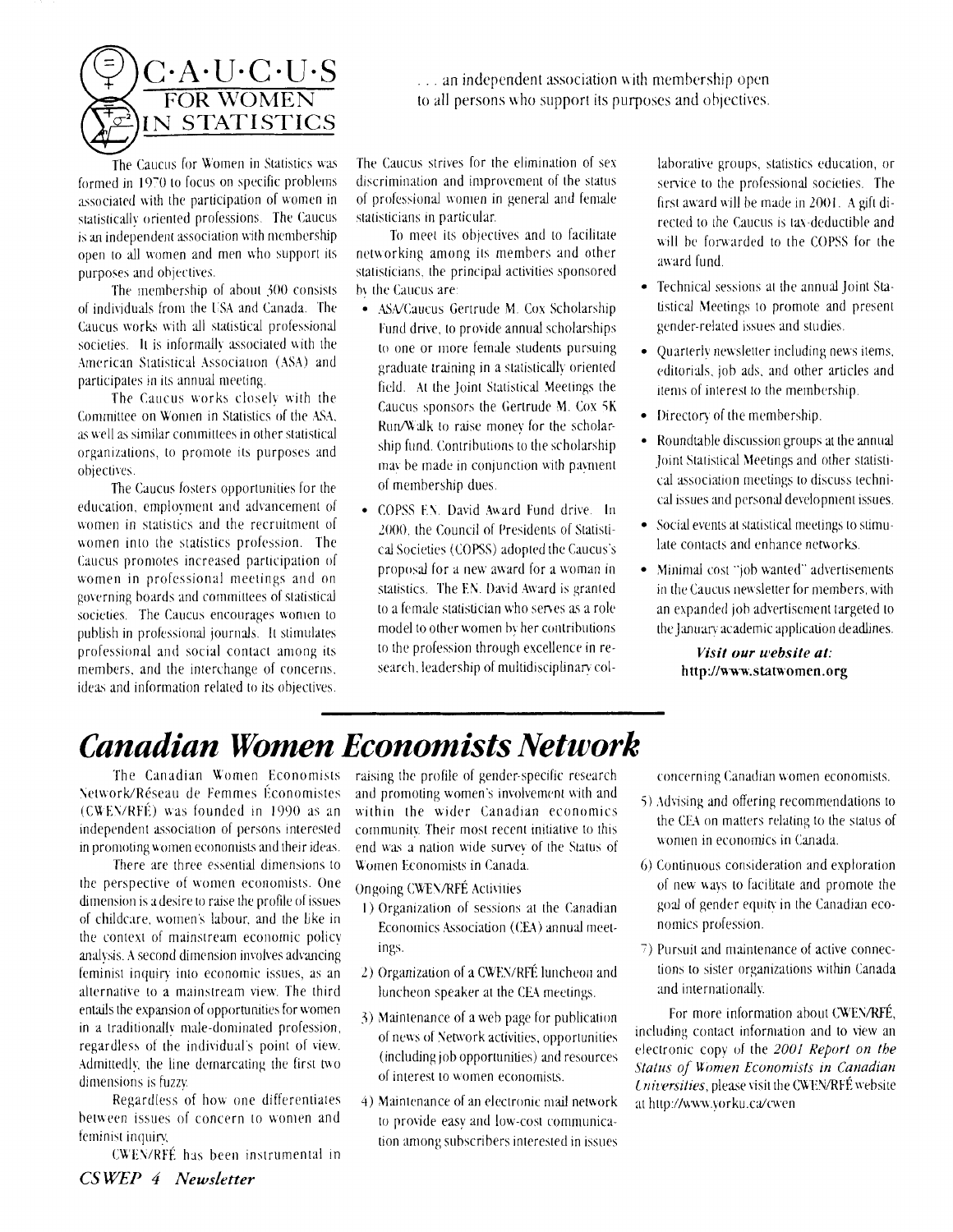

The Caucus for Women in Statistics was formed in 1970 to focus on specific problems associated with the participation of women in statistically oriented professions. The Caucus is an independent association with membership open to all women and men who support its purposes and objectives.

The membership of about 300 consists of individuals from the USA and Canada. The Caucus works with all statistical professional societies. It is informally associated with the American Statistical Association (ASA) and participates in its annual meeting.

The Caucus works closelv with the Committee on Women in Statistics of the ASA. as well as similar committees in other statistical organizations, to promote its purposes and objectives.

The Caucus fosters opportunities for the education, employment and advancement of women in statistics and the recruitment of women into the statistics profession. The Caucus promotes increased participation of women in professional meetings and on governing boards and committees of statistical societies. The Caucus encourages women to publish in professional journals. It stimulates professional and social contact among its members, and the interchange of concerns. ideas and information related to its objectives.

The Caucus strives for the elimination of sex discrimination and improvement of the status of professional women in general and female statisticians in particular.

... an independent association with membership open to all persons who support its purposes and objectives.

To meet its objectives and to facilitate networking among its members and other statisticians, the principal activities sponsored by the Caucus are:

- ASA/Caucus Gertrude M. Cox Scholarship Fund drive, to provide annual scholarships to one or more female students pursuing graduate training in a statistically oriented field. At the Joint Statistical Meetings the Caucus sponsors the Gertrude M. Cox 5K Run/Walk to raise money for the scholarship fund. Contributions to the scholarship may be made in conjunction with payment of membership dues.
- · COPSS EN. David Award Fund drive. In 2000, the Council of Presidents of Statistical Societies (COPSS) adopted the Caucus's proposal for a new award for a woman in statistics. The EN. David Award is granted to a female statistician who serves as a role model to other women by her contributions to the profession through excellence in research, leadership of multidisciplinary col-

laborative groups, statistics education, or service to the professional societies. The first award will be made in 2001. A gift directed to the Caucus is tax-deductible and will be forwarded to the COPSS for the award fund

- Technical sessions at the annual Joint Statistical Meetings to promote and present gender-related issues and studies.
- Ouarterly newsletter including news items, editorials, job ads, and other articles and items of interest to the membership.
- Directory of the membership.
- Roundtable discussion groups at the annual Joint Statistical Meetings and other statistical association meetings to discuss technical issues and personal development issues.
- Social events at statistical meetings to stimulate contacts and enhance networks.
- · Minimal cost "job wanted" advertisements in the Caucus newsletter for members, with an expanded job advertisement targeted to the January academic application deadlines.

#### Visit our website at: http://www.statwomen.org

# **Canadian Women Economists Network**

The Canadian Women Economists Network/Réseau de Femmes Économistes (CWEN/RFÉ) was founded in 1990 as an independent association of persons interested in promoting women economists and their ideas.

There are three essential dimensions to the perspective of women economists. One dimension is a desire to raise the profile of issues of childcare, women's labour, and the like in the context of mainstream economic policy analysis. A second dimension involves advancing feminist inquiry into economic issues, as an alternative to a mainstream view. The third entails the expansion of opportunities for women in a traditionally male-dominated profession, regardless of the individual's point of view. Admittedly, the line demarcating the first two dimensions is fuzzy.

Regardless of how one differentiates between issues of concern to women and feminist inquiry.

CWEN/RFÉ has been instrumental in

raising the profile of gender-specific research and promoting women's involvement with and within the wider Canadian economics community. Their most recent initiative to this end was a nation wide survey of the Status of Women Economists in Canada.

#### **Ongoing CWEN/RFÉ Activities**

- 1) Organization of sessions at the Canadian Economics Association (CEA) annual meetings.
- 2) Organization of a CWEN/RFÉ luncheon and luncheon speaker at the CEA meetings.
- 3) Maintenance of a web page for publication of news of Network activities, opportunities (including job opportunities) and resources of interest to women economists.
- 4) Maintenance of an electronic mail network to provide easy and low-cost communication among subscribers interested in issues

concerning Canadian women economists.

- 5) Advising and offering recommendations to the CEA on matters relating to the status of women in economics in Canada.
- 6) Continuous consideration and exploration of new ways to facilitate and promote the goal of gender equity in the Canadian economics profession.
- 7) Pursuit and maintenance of active connections to sister organizations within Canada and internationally.

For more information about CWEN/RFÉ, including contact information and to view an electronic copy of the 2001 Report on the Status of Women Economists in Canadian Universities, please visit the CWEN/RFÉ website at http://www.yorku.ca/cwen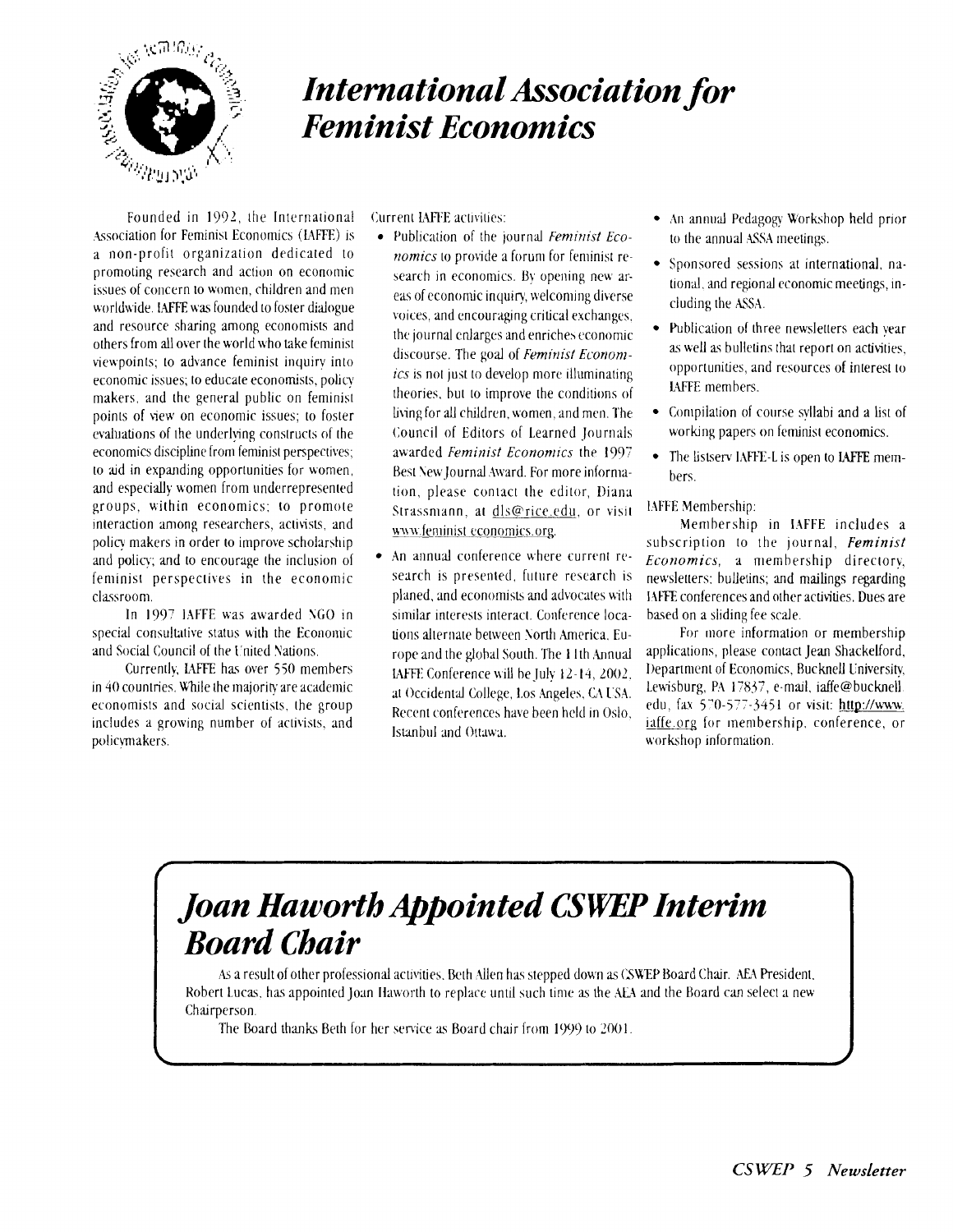

# ?-. *International Association for* **<sup>I</sup>***Feminist Economics*

Founded in 1992, the International Association for Feminist Economics (IAFFE) is a non-profit organization dedicated to promoting research and action on economic issues of concern to women, children and men worldwide. IAFFE was founded to foster dialogue and resource sharing among economists and others from all over the world who take feminist viewpoints; to advance feminist inquiry into economic issues; to educate economists, policy makers. and the general public on feminist points of view on economic issues; to foster evaluations of the underlying constructs of the economics discipline from feminist perspectives; to aid in expanding opportunities for women, and especially women from underrepresented groups, within economics; to promote interaction among researchers, activists, and policy makers in order to improve scholarship and policy; and to encourage the inclusion of feminist perspectives in the economic classroom.

In 1907 IAFFE was awarded *SGO* in special consultative status with the Econonic and Social Council of the I'nited Nations.

Currently, **MFFE** has over 550 members in  $40$  countries. While the majority are academic economists and social scientists. the group includes a growing number of activists, and policynakers.

Current IAFFE activities:

- Publication of the journal *Feminist Economics* to provide a forum for feminist research in economics. By opening new areas of economic inquiry, welcoming diverse voices, and encouraging critical exchanges. the journal enlarges and enriches economic discourse. The goal of *Feminisl Econonlics* is not just to develop more illuminating theories, but to improve the conditions of living for all children, women, and men. The Council of Editors of Learned Journals awarded *Feminist Economics* the 1997 Best New Journal Award. For more information, please contact the editor, Diana Strassrnann. at dls@rice.edu, or visit www.feminist economics.org.
- An annual conference where current research is presented, future research is planed, and economists and advocates with similar interests interact. Conference locations alternate between xorth hmerica. Europe and the global South. The 11th Annual **IAFFE Conference will be July 12-14, 2002.** at Occidental College, Los Angeles, CA USA. Reccnt conferences have been held in Oslo, Istxnbul and Ottawa.
- An annual Pedagogy Workshop held prior to the annual ASSA meetings.
- Sponsored sessions at international, national, and regional economic meetings, including the ASSA.
- Publication of three newsletters each year as well as bulletins that report on activities. opportunities, and resources of interesi to LAFFE members.
- Compilation of course syllabi and a list of working papers on feminist economics.
- The listserv IAFFE-L is open to IAFFE members.

l4FFE Membership:

Membership in IAFFE includes a subscription to the journal, *Feminist Economics,* a membership directory, newsletters: bulletins; and mailings regarding 14tR conferences and other activities. Dues are based on a sliding fee scale.

For more information or membership applications, please contact Jean Shackelford, 1)epartrnent of Economics, Rucknell Lniversity, Lewisburg, PA 17837, e-mail, iaffe@bucknell. edu, fax 570-577-3451 or visit: http://www. iaffe.org for membership, conference, or workshop information.

# ( *Joan Haworth Appointed CSW Interim*  I *Board Chair*

As a result of other professional activities. Beth Allen has stepped down as CSWEP Board Chair. AEA President. Robert Lucas, has appointed Joan Haworth to replace until such time as the AEA and the Board can select a new Chairperson.

The Board thanks Beth for her senice **as** Board chair from ly)') to 2001.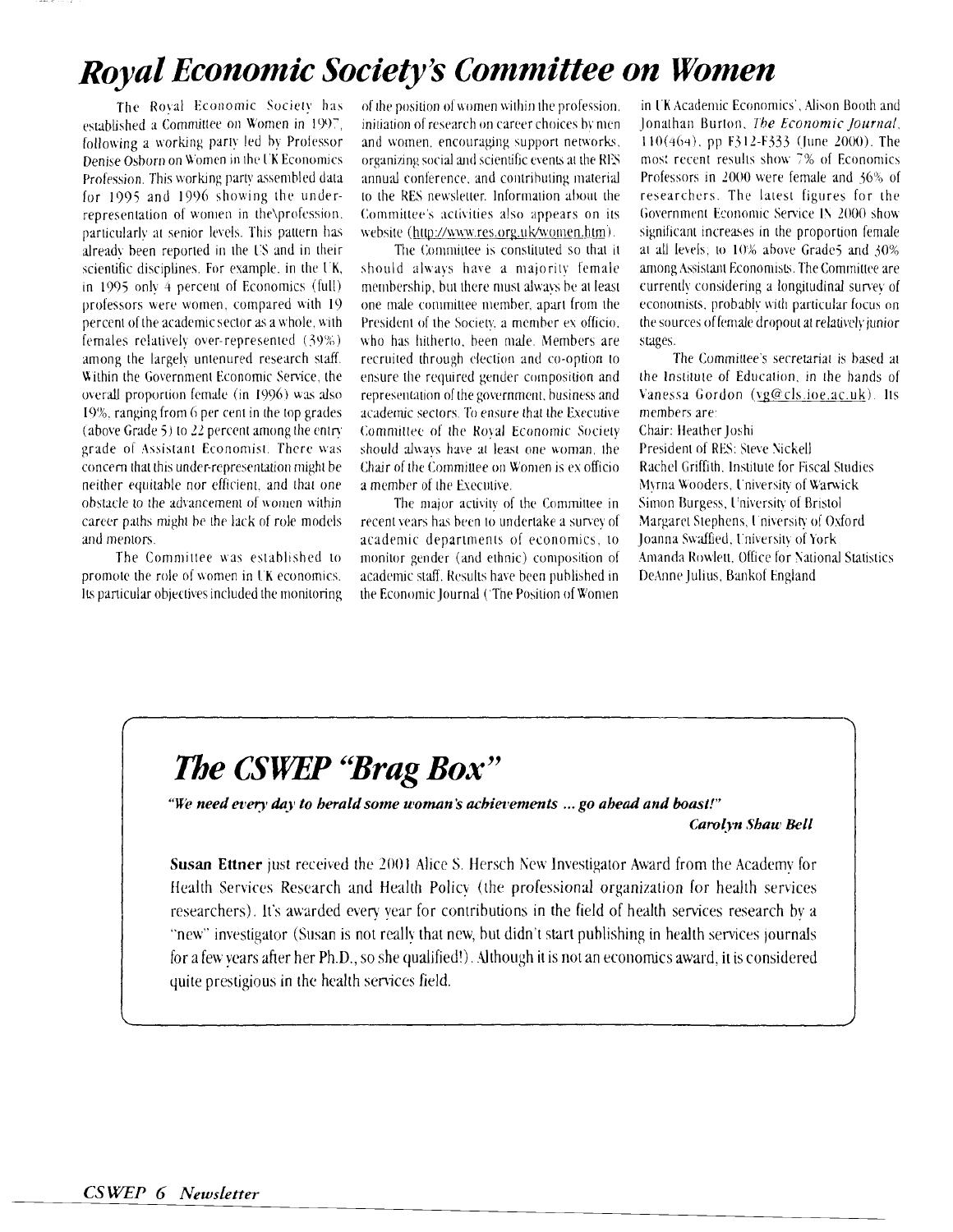# Royal Economic Society's Committee on Women

The Royal Economic Society has established a Committee on Women in 1997. following a working party led by Professor Denise Osborn on Women in the UK Economics Profession. This working party assembled data for 1995 and 1996 showing the underrepresentation of women in the\profession. particularly at senior levels. This pattern has already been reported in the US and in their scientific disciplines. For example, in the UK, in 1995 only 4 percent of Economics (full) professors were women, compared with 19 percent of the academic sector as a whole, with females relatively over-represented (39%) among the largely untenured research staff. Within the Government Economic Service, the overall proportion female (in 1996) was also 19%, ranging from 6 per cent in the top grades (above Grade 5) to 22 percent among the entry grade of Assistant Economist. There was concern that this under-representation might be neither equitable nor efficient, and that one obstacle to the advancement of women within career paths might be the lack of role models and mentors.

The Committee was established to promote the role of women in UK economics. Its particular objectives included the monitoring

of the position of women within the profession. initiation of research on career choices by men and women, encouraging support networks, organizing social and scientific events at the RES annual conference, and contributing material to the RES newsletter. Information about the Committee's activities also appears on its website (http://www.res.org.uk/women.htm).

The Committee is constituted so that it should always have a majority female membership, but there must always be at least one male committee member, apart from the President of the Society, a member ex officio, who has hitherto, been male. Members are recruited through election and co-option to ensure the required gender composition and representation of the government, business and academic sectors. To ensure that the Executive Committee of the Royal Economic Society should always have at least one woman the Chair of the Committee on Women is ex officio a member of the Executive.

The major activity of the Committee in recent years has been to undertake a survey of academic departments of economics, to monitor gender (and ethnic) composition of academic staff. Results have been published in the Economic Journal ('The Position of Women

in UK Academic Economics'. Alison Booth and lonathan Burton, The Economic Journal. 110(464), pp F312-F333 (June 2000). The most recent results show 7% of Economics Professors in 2000 were female and 36% of researchers. The latest figures for the Government Economic Service IN 2000 show significant increases in the proportion female at all levels; to 10% above Grade5 and 30% among Assistant Economists. The Committee are currently considering a longitudinal survey of economists, probably with particular focus on the sources of female dropout at relatively junior stages.

The Committee's secretariat is based at the Institute of Education, in the hands of Vanessa Gordon (vg@cls.ioe.ac.uk). Its members are:

Chair: Heather Joshi

President of RES: Steve Nickell Rachel Griffith. Institute for Fiscal Studies Myrna Wooders, University of Warwick Simon Burgess, University of Bristol Margaret Stephens, University of Oxford Ioanna Swaffied, University of York Amanda Rowlett, Office for National Statistics DeAnne Julius, Bankof England

# The CSWEP "Brag Box"

"We need every day to berald some woman's achievements ... go ahead and boast!"

#### Carolyn Shaw Bell

**Susan Ettner** just received the 2001 Alice S. Hersch New Investigator Award from the Academy for Health Services Research and Health Policy (the professional organization for health services researchers). It's awarded every year for contributions in the field of health services research by a "new" investigator (Susan is not really that new, but didn't start publishing in health services journals for a few years after her Ph.D., so she qualified!). Although it is not an economics award, it is considered quite prestigious in the health services field.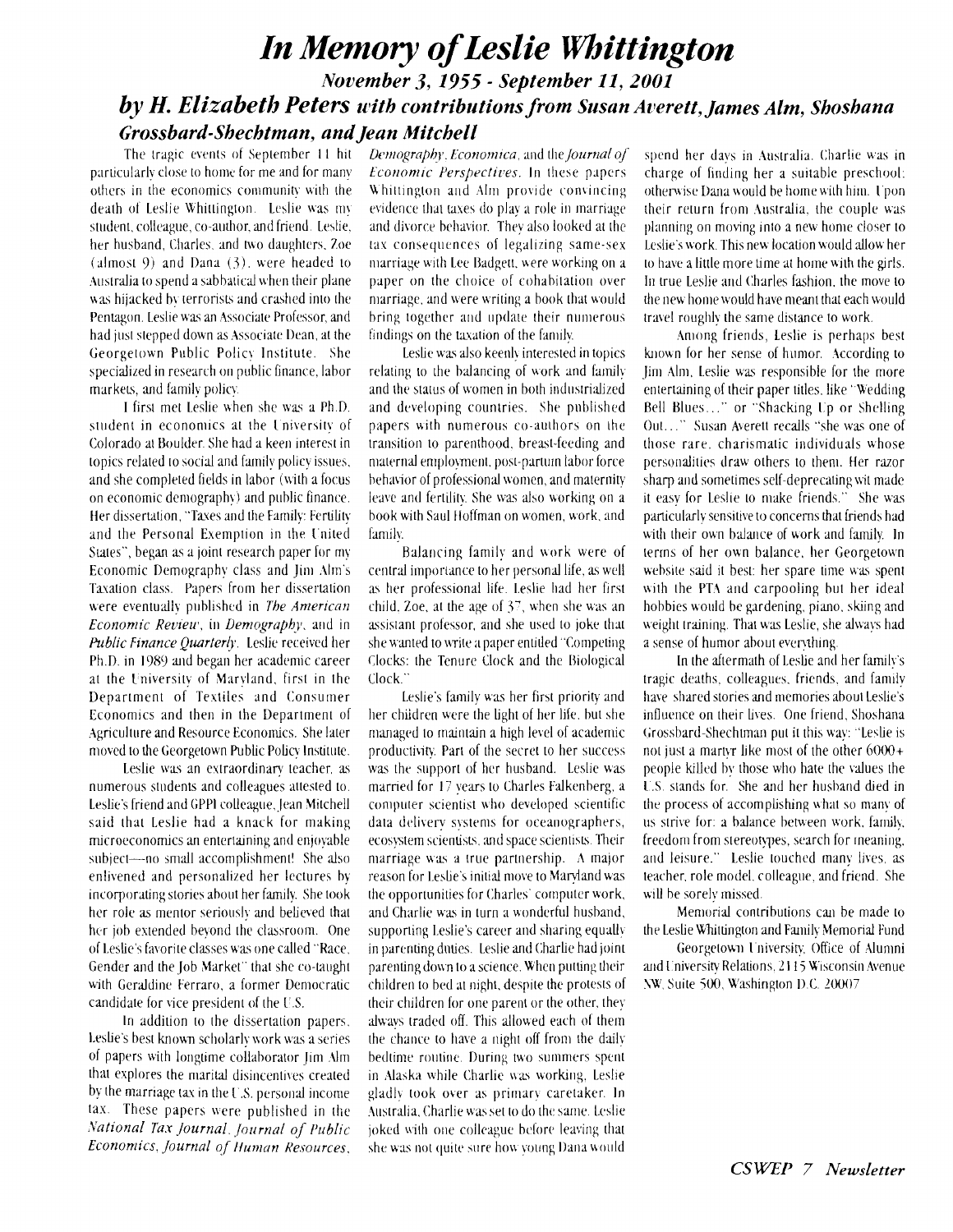### **In Memory of Leslie Whittington** *November 3, 1355* - *September 11,2001 by H. Elizabeth Peters with contributions from Susan Averett, James Alm, Shoshana Grossbard-Sbecbtman, and Jean Mitchell*

The tragic events of September 11 hit particularly close to home for me and for many others in the economics community with the death of Leslie Whittington. Leslie was my student, colleague, co-author, and friend. Leslie. her husband. Charles, and two daughters, Zoe  $(\text{almost } 9)$  and Dana  $(3)$ . were headed to Australia to spend a sabbatical when their plane was hijacked by terrorists and crashed into the Pentagon. Leslie was an Associate Professor, and had just stepped down as Associate Dean, at the Georgetown Public Policy Institute. She specialized in research on public finance, labor markets, and family policy.

I first met Leslie \\hen she \vas a Ph.D. student in economics at the University of Colorado at Houlder. She had a keen interest in topics related lo social and family policy issues. and she completed fields in labor (with a focus on economic demography) and public finance. Her disserution, "Taxes and the Family: Fertility and the Personal Exemption in the I'nited States", began as a joint research paper for my Economic Demography class and Jim Alm's Taxation class. Papers from her dissertation were eventually published in *The American Economic Review, in Demography, and in* Public Finance Quarterly. Leslie received her Ph.D. in 1989 and began her academic career at the Iniversity of Mxryland, first in the Department of Textiles and Consumer Economics and then in the Department of .Agriculture and Resource Economics. She later moved to the Georgetown Public Policy Institute.

Leslie was an extraordinary teacher, as numerous students and colleagues attested to. Leslie's friend and GPPI colleague. Jean Mitchell said that Leslie had a knack for making microeconomics an entertaining and enjoyable subject---no small accomplishment! She also enlivened and personalized her lectures by incorporating stories about her family. She took her role as mentor seriously and believed that her job extended beyond the classroom. One of Leslie's favorite classes was one called "Race. Gender and the Job Market" that she co-taught with Geraldine Ferraro, a former Democratic candidate for vice president of the U.S.

In addition to the dissertation papers. Leslie's best known scholarly work was a series of papers with longtime collaborator Jim Alm that explores the marital disincentives created by the marriage tax in the  $U.S.$  personal income tax. These papers were published in the *lvational Tax Journal. Journal of Public Economics, Journal of Human Resources,* 

*Demography. Economica*, and the *Journal of Economic Perspectives.* In these papers Whittington and Alm provide convincing evidence that taxes do play a role in marriage and divorce behavior. They also looked at the tax consequences of legalizing same-sex marriage with Lee Badgett, were working on a paper on the choice of cohabitation over marriage, and were writing a book that would bring together and update their numerous findings on the taxation of the family.

Leslie was also keenly interested in topics relating to the balancing of work and family and the status of women in both industrialized and developing countries. She published papers with numerous co-authors on the transition to parenthood, breast-feeding and maternal employment, post-partum labor force hehavior of professional women, and maternity leave and fertility. She was also working on a book with Saul Hoffman on women, work. and family.

Balancing family and work were of central importance to her personal life, as well as her professional life. Leslie had her first child. Zoe, at the age of 3', when she was an assislant professor, and she used to joke that she wanted to write a paper entitled "Competing Clocks: the Tenure Clock and the Biological Clock."

Leslie's family way her first priority and her children were the light of her life, but she managed to maintain a high level of academic productivity. Part of the secret to her success was the support of her husband. Leslie was married for 17 years to Charles Falkenberg, a computer scientist who developed scientific data delivery systems for oceanographers, ecosystem scientists, and space scientists. Their marriage was a true partnership. A major reason for I.exlie's initial move to Maryland was the opportunities for Charles' computer work. and Charlie was in turn a wonderful husband, supporting Leslie's career and sharing equally in parenting duties. Leslie and Charlie had joint parenting down to a science. When putting their children to bed at night. despite the protests of thcir children for one parent or the other. they always traded off. This allowed each of them the chance to have a night off from the daily bedtime routine. During two summers spent in Alaska while Charlie was working, Leslie gladly took over as primary caretaker. In Australia. Charlie was set to do the same. Leslie joked with one colleague before leaving that she was not quite sure how young Dana would

spend her days in Australia. Charlie was in charge of finding her a suitable preschool: otherwise Dana would be home with him. Upon their return from Australia, the couple was 1)lanning on moving into a new home closer to Leslie's \vork. This new location would allow her to have a little more time at home with the girls. In true Leslie and Charles fashion. the move to the new home would have meant that each would travel roughly the same distance to work.

Among friends, Leslie is perhaps best known for her sense of humor. According to lim Alm, Leslie was responsible for the more entertaining of their paper titles, like "Wedding Bell Blues..." or "Shacking Up or Shelling 0111. . ." Susan Akerell recalls "she was one of those rare. charismatic individuals whose personalities draw others to them. Her razor sharp and sometimes self-deprecating wit made it easy for Leslie to make friends." She was particularly sensitive to concerns that friends had with their own balance of work and family. In terms of her own balance, her Georgetown wehsite said it best: her spare time was spent with the PTA and carpooling but her ideal hobbies would be gardening, piano, skiing and weight training. That was Leslie, she always had a sense of humor about everything.

In the aftermath of Leslie and her family's tragic deaths. colleagues. friends, and faniilv have shared stories and memories about Leslie's influence on their lives. One friend, Shoshana Grossbard-Shechtman put it this way: "Leslie is not just a martyr like most of the other  $6000+$ people killed by those who hate the ralues the I'.S. stands for. She and her husband died in the process of accomplishing what so many of us strive for: a balance between work, family, freedom from stereotyes, search for rneaning. and leisure." Leslie touched many lives, as teacher. role model. colleague, and friend. She will be sorely missed.

Memorial contributions can be made to the Leslie Whittington and Family Memorial Fund

Georgetown University, Office of Alumni and University Relations, 2115 Wisconsin Avenue **NW**, Suite 500, Washington D.C. 20007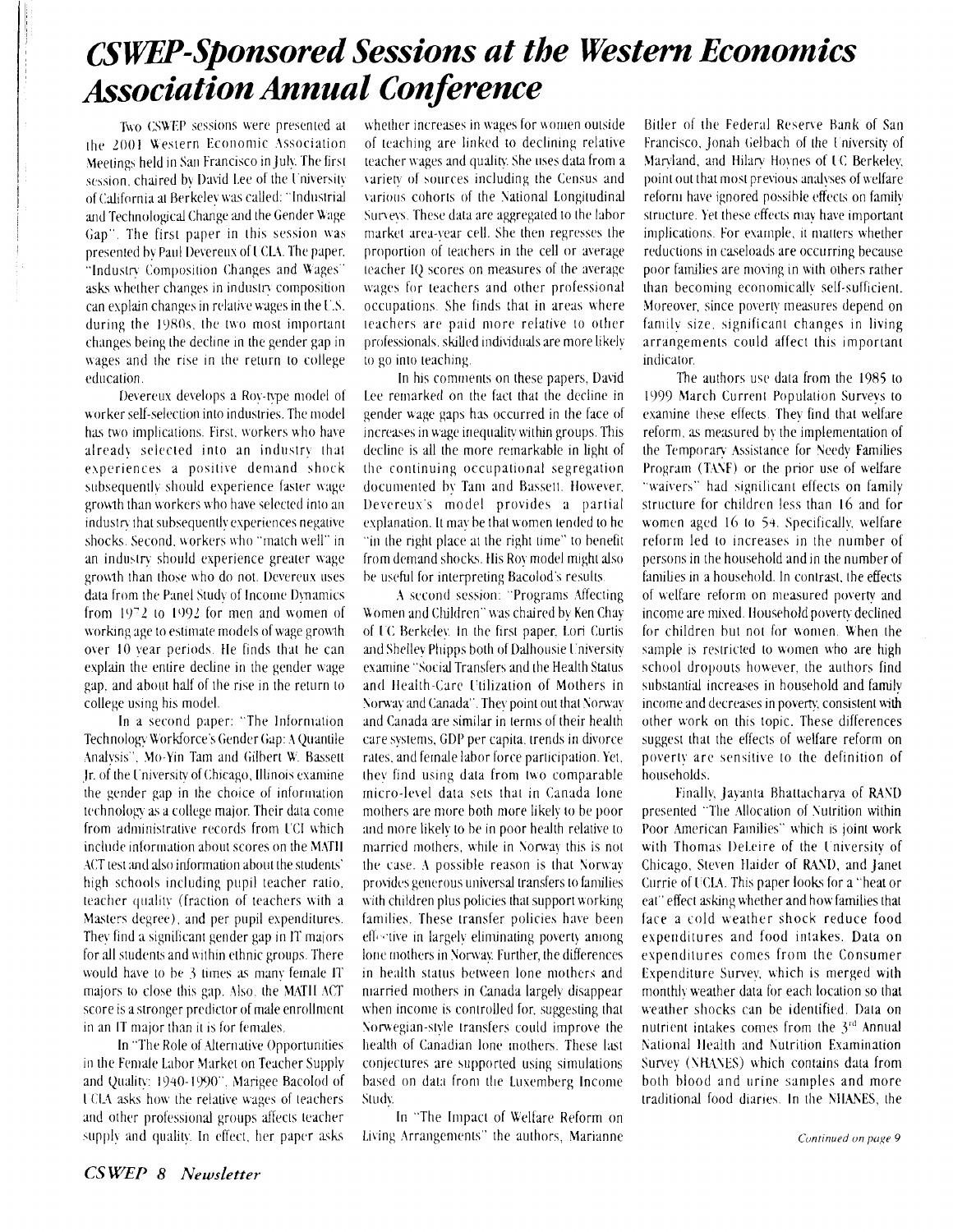# **CSWEP-Sponsored Sessions at the Western Economics Association Annual Conference**

Two CSWEP sessions were presented at the 2001 Western Economic Association Meetings held in San Francisco in July. The first session, chaired by David Lee of the University of California at Berkelev was called: "Industrial and Technological Change and the Gender Wage Gap". The first paper in this session was presented by Paul Devereux of UCLA. The paper, "Industry Composition Changes and Wages" asks whether changes in industry composition can explain changes in relative wages in the U.S. during the 1980s, the two most important changes being the decline in the gender gap in wages and the rise in the return to college education.

Devereux develops a Roy-type model of worker self-selection into industries. The model has two implications. First, workers who have already selected into an industry that experiences a positive demand shock subsequently should experience faster wage growth than workers who have selected into an industry that subsequently experiences negative shocks. Second, workers who "match well" in an industry should experience greater wage growth than those who do not. Devereux uses data from the Panel Study of Income Dynamics from 1972 to 1992 for men and women of working age to estimate models of wage growth over 10 year periods. He finds that he can explain the entire decline in the gender wage gap, and about half of the rise in the return to college using his model.

In a second paper: "The Information Technology Workforce's Gender Gap: A Quantile Analysis", Mo-Yin Tam and Gilbert W. Bassett Jr. of the University of Chicago, Illinois examine the gender gap in the choice of information technology as a college major. Their data come from administrative records from UCI which include information about scores on the MATH ACT test and also information about the students' high schools including pupil teacher ratio, teacher quality (fraction of teachers with a Masters degree), and per pupil expenditures. They find a significant gender gap in IT majors for all students and within ethnic groups. There would have to be 3 times as many female IT majors to close this gap. Also, the MATH ACT score is a stronger predictor of male enrollment in an IT major than it is for females.

In "The Role of Alternative Opportunities in the Female Labor Market on Teacher Supply and Quality: 1940-1990". Marigee Bacolod of UCLA asks how the relative wages of teachers and other professional groups affects teacher supply and quality. In effect, her paper asks

whether increases in wages for women outside of teaching are linked to declining relative teacher wages and quality. She uses data from a variety of sources including the Census and various cohorts of the National Longitudinal Surveys. These data are aggregated to the labor market area-year cell. She then regresses the proportion of teachers in the cell or average teacher IQ scores on measures of the average wages for teachers and other professional occupations. She finds that in areas where teachers are paid more relative to other professionals, skilled individuals are more likely to go into teaching.

In his comments on these papers, David Lee remarked on the fact that the decline in gender wage gaps has occurred in the face of increases in wage inequality within groups. This decline is all the more remarkable in light of the continuing occupational segregation documented by Tam and Bassett. However, Devereux's model provides a partial explanation. It may be that women tended to he "in the right place at the right time" to benefit from demand shocks. His Roy model might also be useful for interpreting Bacolod's results.

A second session: "Programs Affecting Women and Children" was chaired by Ken Chay of UC Berkelev. In the first paper, Lori Curtis and Shelley Phipps both of Dalhousie University examine "Social Transfers and the Health Status and Health-Care Utilization of Mothers in Norway and Canada". They point out that Norway and Canada are similar in terms of their health care systems, GDP per capita, trends in divorce rates, and female labor force participation. Yet, they find using data from two comparable micro-level data sets that in Canada lone mothers are more both more likely to be poor and more likely to be in poor health relative to married mothers, while in Norway this is not the case. A possible reason is that Norway provides generous universal transfers to families with children plus policies that support working families. These transfer policies have been effective in largely eliminating poverty among lone mothers in Norway. Further, the differences in health status between lone mothers and niarried mothers in Canada largely disappear when income is controlled for, suggesting that Norwegian-style transfers could improve the health of Canadian lone mothers. These last conjectures are supported using simulations based on data from the Luxemberg Income Study.

In "The Impact of Welfare Reform on Living Arrangements" the authors, Marianne

Bitler of the Federal Reserve Bank of San Francisco, Jonah Gelbach of the University of Maryland, and Hilary Hoynes of UC Berkeley. point out that most previous analyses of welfare reform have ignored possible effects on family structure. Yet these effects may have important implications. For example, it matters whether reductions in caseloads are occurring because poor families are moving in with others rather than becoming economically self-sufficient. Moreover, since poverty measures depend on family size, significant changes in living arrangements could affect this important indicator.

The authors use data from the 1985 to 1999 March Current Population Surveys to examine these effects. They find that welfare reform, as measured by the implementation of the Temporary Assistance for Needy Families Program (TANF) or the prior use of welfare "waivers" had significant effects on family structure for children less than 16 and for women aged 16 to 54. Specifically, welfare reform led to increases in the number of persons in the household and in the number of families in a household. In contrast, the effects of welfare reform on measured poverty and income are mixed. Household poverty declined for children but not for women. When the sample is restricted to women who are high school dropouts however, the authors find substantial increases in household and family income and decreases in poverty, consistent with other work on this topic. These differences suggest that the effects of welfare reform on poverty are sensitive to the definition of households.

Finally, Jayanta Bhattacharya of RAND presented "The Allocation of Nutrition within Poor American Families" which is joint work with Thomas DeLeire of the University of Chicago, Steven Haider of RAND, and Janet Currie of UCLA. This paper looks for a "heat or eat" effect asking whether and how families that face a cold weather shock reduce food expenditures and food intakes. Data on expenditures comes from the Consumer Expenditure Survey, which is merged with monthly weather data for each location so that weather shocks can be identified. Data on nutrient intakes comes from the 3rd Annual National Health and Nutrition Examination Survey (NHANES) which contains data from both blood and urine samples and more traditional food diaries. In the NHANES, the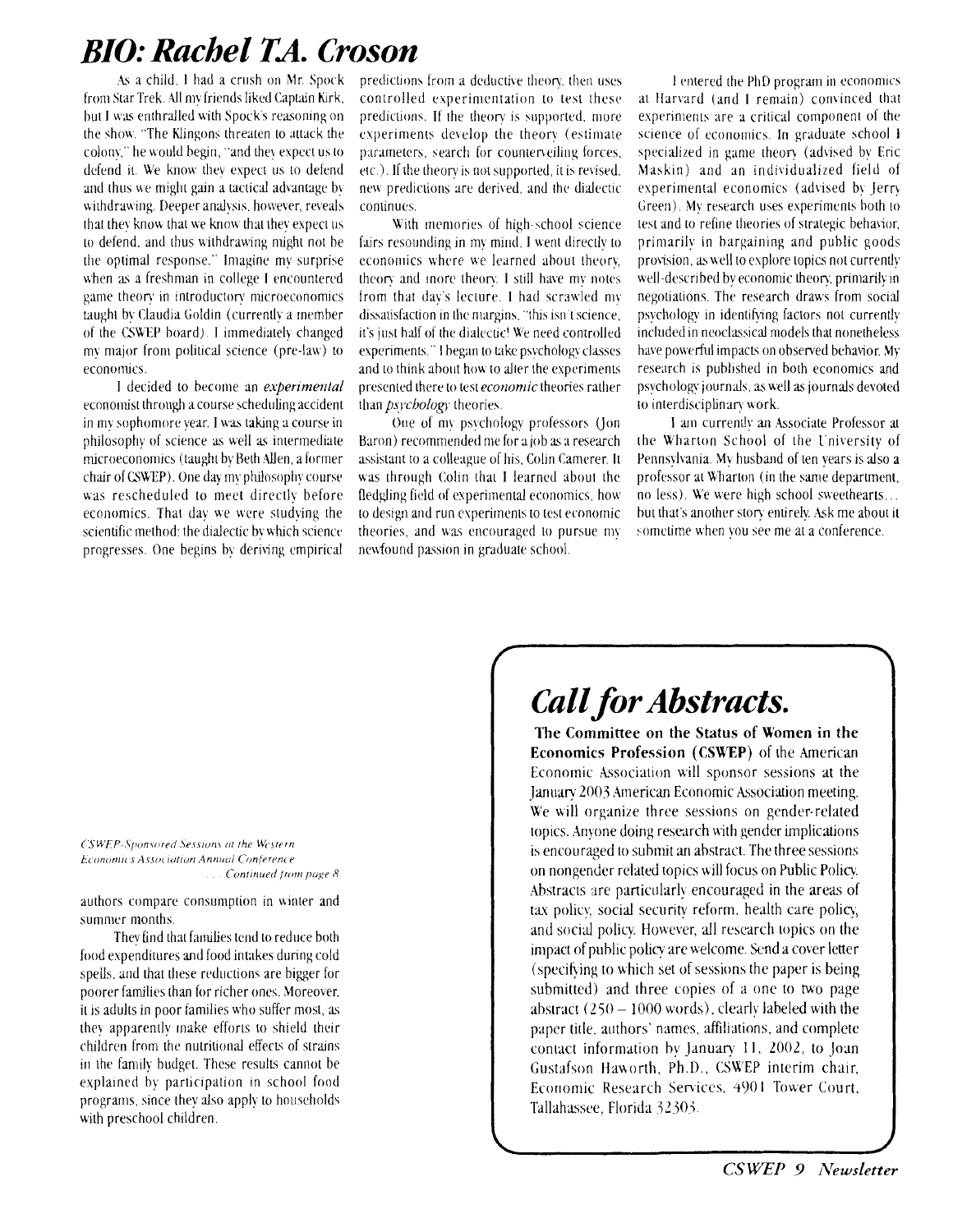# *BIO: Rachel TA. Croson*

.ks a child. I had a crush on Mr. Spork from Star Trek. All my friends liked Captain Kirk. but I **\us** enthralled wilh Spock's reasoning on the show. "The Klingons threaten to attack the colony," he would begin, "and they expect us to defend it. We know they expect us to defend and thus we might gain a tactical advantage by withdrawing. Deeper analysis, however, reveals that they know that we know that they expect us to defend, and thus withdrawing might not be he optimal response." Imagine my surprise when as a freshman in college I encountered game theory in introductory microeconomics taught by Claudia Goldin (currently a member of the CSWEP board). I immediately changed my major from political science (pre-law) to economics.

I decided 10 become an *experimental*  economist through a course scheduling accident in my sophomore year. I was taking a course in philosophy of science as well as intermediate microeconomics (taught by Beth Allen, a former chair of CSWEP). One day my philosophy course was rescheduled lo meet directly before economics. That day we were studying the scientific method: the dialectic by which science progresses. One begins by deriving empirical

predictions from a deductive theory, then uses controlled experimentation to test these predictions. If the theory is supported, more experiments develop the theory (estimate parameters, search for counterveiling forces. etc.). If the theory is not supported, it is revised. new predictions are derived, and the dialectic continues.

With memories of high-school science fairs resounding in my mind. I went directly to economics where we learned aboul theory, theory and inore theory. I still have my notes from that day's leclure. I had scrawled my dissatisfaction in the margins. "this isn't science, it's just half of the dialectic! We need controlled experiments." I began to take psychology classes and to think about how to alter the experiments presented there to test *economic* theories rather than *ps)'chologi* theories.

One of my psychology professors (Jon Baron) recommended me for a job as a research assislant to a colleague of his. Colin Camerer. It was through Colin that I learned about the fledgling field of experimental economics, how lo design and run cvperirnents to lesl economic theories. and was encouraged to pursue my newfound passion in graduate school.

I entered the PhD program in economics at Harvard (and I remain) convinced that experiments are a critical component of the science of economics. In graduate school I specialized in game theory (advised by Eric Maskin) and an individualized field of experimental economics (advised by Jerry Green). My research uses experiments both to test and to refine theories of strategic behavior, primarily in bargaining and public goods provision, as well to explore topics not currently well-described by economic theory, primarily in negolialions. The research draws from socid psychology in identifying factors not currently included in neoclassical models that nonetheless have powerful impacts on observed behavior. My research is published in both economics and psycholog). journals. **a** well **as** journals devoletl to interdisciplinary work.

I am currently an Associate Professor at the Wharton School of the I.niversity of Pennsylvania. My husband of ten years is also a professor at Wharton (in the same department, no less). We were high school sweethearts... but that's another story entirely. Ask me about it sometime when you see me at a conference.

CSWEP-Sponsored Sessions at the Western Economics Association Annual Conference ... Continued from page 8

authors compare consumption in winter and summer months.

They find that families tend to reduce both food expenditures and food intakes during cold spells, and that these reductions are bigger for poorer families than for richer ones. Moreover. it is adults in poor families who suffer most, as they apparently make efforts to shield their children from the nutritional effects of strains in the family budgel. These results cannot be explained by participation in school food programs, since they also apply to households with preschool children.

# *Call for Abstracts.*

**The Committee on the Status of Women in the Economics Profession (CSWEP)** of the American Economic Association will sponsor sessions at the January 2003 American Economic Association meeting. We will organize three sessions on gender-related topics. Anyone doing research with gender implications is encouraged to submit an abstract. The three sessions on nongender related topics will focus on Public Policy Abstracts are particularly encouraged in the areas of tax polic); social security reform. health care polic); and social policy. However, all research topics on the impact of public policy are welcome. Send a cover letter (specibing to which set of sessions the paper is being submitted) and three copies of a one to two page abstract  $(250 - 1000$  words), clearly labeled with the paper title, authors' names, affiliations, and complete contact information by January 1 I. 2002, to Joan Gustafson Haworth, Ph.D., CSWEP interim chair, Economic Research Services. 4901 Tower Court. Tallahassee, Florida 32303.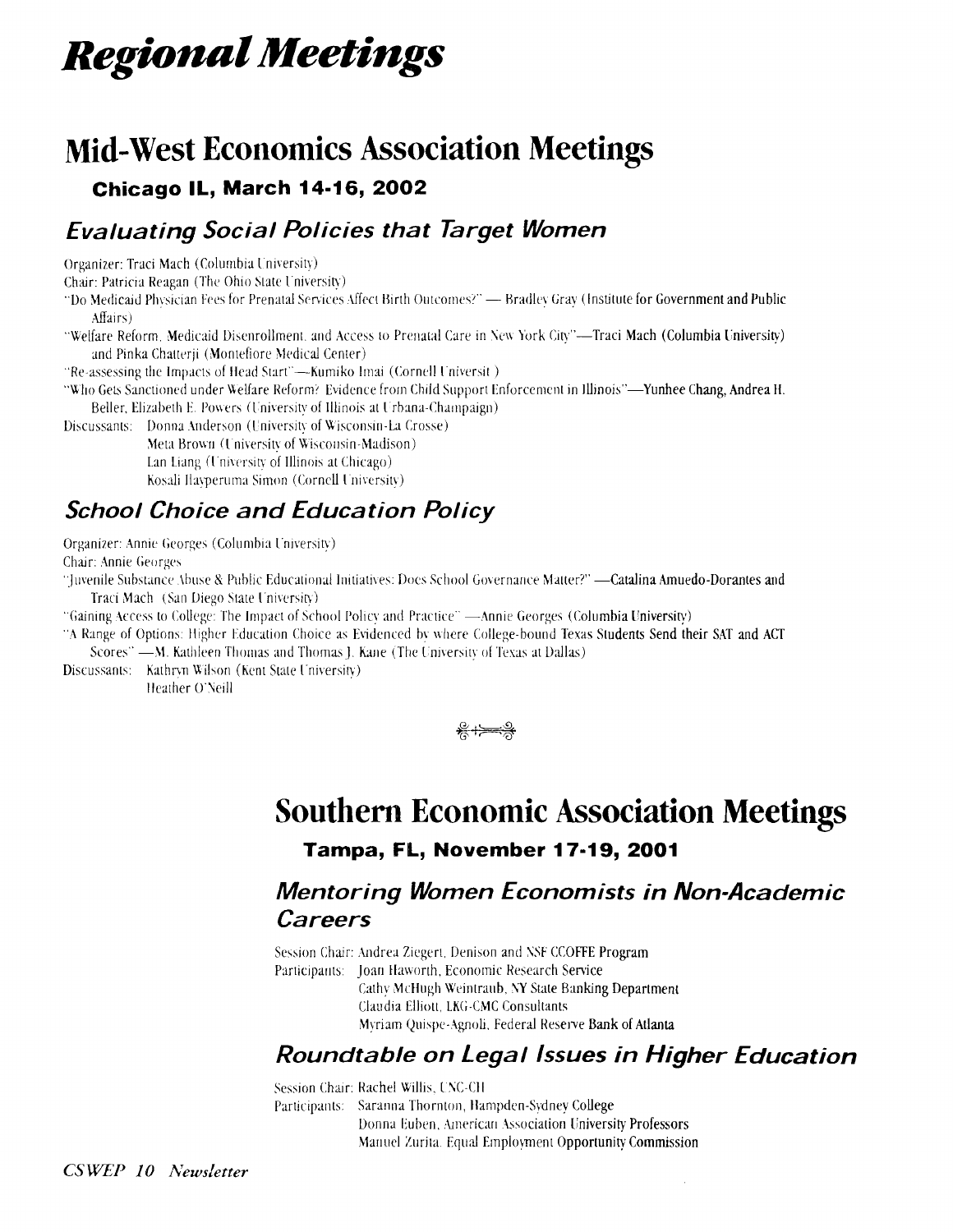# **Regional Meetings**

# **Mid-West Economics Association Meetings**

#### **Chicago IL, March 14-16, 2002**

### **Evaluating Social Policies that Target Women**

Organizer: Traci Mach (Columbia University)

Chair: Patricia Reagan (The Ohio State University)

"Do Medicaid Physician Fees for Prenatal Services Affect Birth Outcomes?" - Bradley Gray (Institute for Government and Public Affairs)

"Welfare Reform, Medicaid Disenrollment, and Access to Prenatal Care in New York City"-Traci Mach (Columbia University) and Pinka Chatterii (Montefiore Medical Center)

"Re-assessing the Impacts of Head Start"-Kumiko Imai (Cornell Universit)

"Who Gets Sanctioned under Welfare Reform? Evidence from Child Support Enforcement in Illinois"-Yunhee Chang, Andrea H. Beller, Elizabeth E. Powers (University of Illinois at Urbana-Champaign)

Discussants: Donna Anderson (University of Wisconsin-La Crosse)

Meta Brown (University of Wisconsin-Madison) Lan Liang (University of Illinois at Chicago)

Kosali Ilayperuma Simon (Cornell University)

### **School Choice and Education Policy**

Organizer: Annie Georges (Columbia University)

Chair: Annie Georges

"Juvenile Substance Abuse & Public Educational Initiatives: Docs School Governance Matter?" -- Catalina Amuedo-Dorantes and Traci Mach (San Diego State University)

"Gaining Access to College: The Impact of School Policy and Practice" —Annie Georges (Columbia University)

"A Range of Options: Higher Education Choice as Evidenced by where College-bound Texas Students Send their SAT and ACT Scores" - M. Kathleen Thomas and Thomas J. Kane (The University of Texas at Dallas)

Discussants: Kathryn Wilson (Kent State University) Heather O'Neill



### **Southern Economic Association Meetings** Tampa, FL, November 17-19, 2001

### **Mentoring Women Economists in Non-Academic** Careers

Session Chair: Andrea Ziegert, Denison and NSF CCOFFE Program Participants: Ioan Haworth, Economic Research Service Cathy McHugh Weintraub, NY State Banking Department Claudia Elliott, LKG-CMC Consultants Myriam Quispe-Agnoli, Federal Reserve Bank of Atlanta

### Roundtable on Legal Issues in Higher Education

Session Chair: Rachel Willis, UNC-CH Participants: Saranna Thornton, Hampden-Sydney College Donna Euben, American Association University Professors Manuel Zurita. Equal Employment Opportunity Commission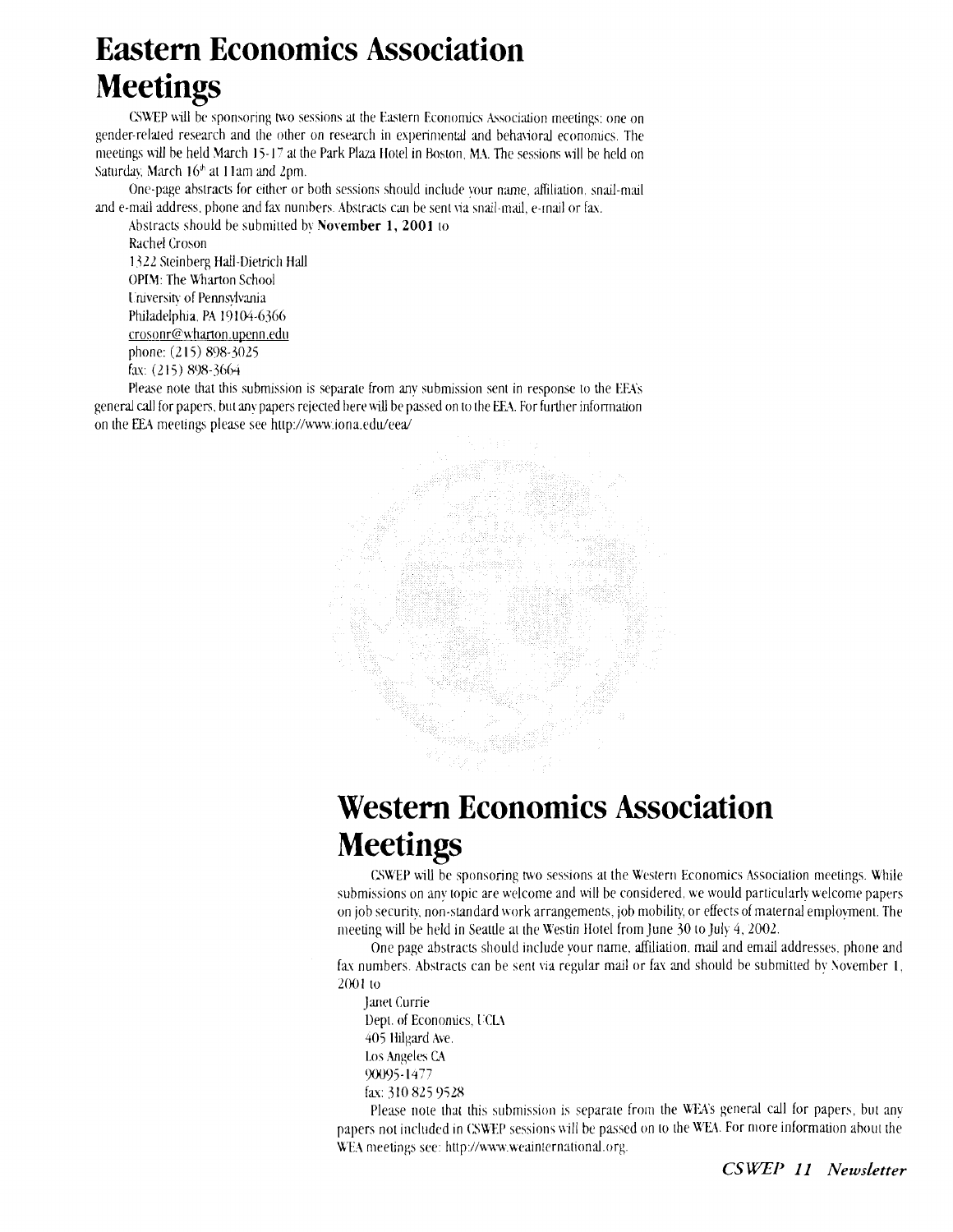# **Eastern Economics Association Meetings**

CSWEP will be sponsoring two sessions at the Eastern Economics Association meetings; one on gender-related research and the other on research in experimental and behavioral economics. The meetings will be held March 15-17 at the Park Plaza Hotel in Boston. MA. The sessions will be held on Saturday, March 16<sup>th</sup> at 11am and 2pm.

One-page abstracts for either or both sessions should include your name, affiliation, snail-mail and e-mail address, phone and fax numbers. Abstracts can be sent via snail-mail, e-mail or fax.

Abstracts should be submitted by **November 1, 2001** to Rachel Croson **1322 Steinberg Hall-Dietrich Hall** OPIM: The Wharton School University of Pennsylvania Philadelphia. PA 19104-6366 crosonr@wharton.upenn.edu phone: **(2 15) 808-3025**  fu: **(2 l 5) 898-3664** 

Please note that this submission is separate from any submission sent in response to the EEA's general call for papers. hut an\ papers rejected here **if111** be passed on to the EA. For fuizher information on the EEA meetings please see http://www.iona.edu/eea/



# **Western Economics Association Meetings**

UWEP will be sponsoring two sessions at the Western Economics hsocialion meetings. While submissions on any topic are welcome and will be considered, we would particularly welcome papers on job security, non-standard work arrangements, job mobility, or effects of maternal employment. The meeting will be held in Seattle at the U'estin Holel from June **30** to July *4,* 2002.

One page abstracts should include vour name, affiliation, mail and email addresses, phone and fax numbers. Abstracts can be sent via regular mail or fax and should be submitted by November 1, **2001** to

Janet Currie Dept. of Economics, UCLA **405** Hilgard Aye. **1.0s Angeles CA YXT)j-l477**  fax: **310 825** 9528

Please note that this submission is separate from the WEA's general call for papers, but any papers not included in CSWEP sessions will be passed on to the WEA. For more information about the WEA meetings see: http://www.weainternational.org.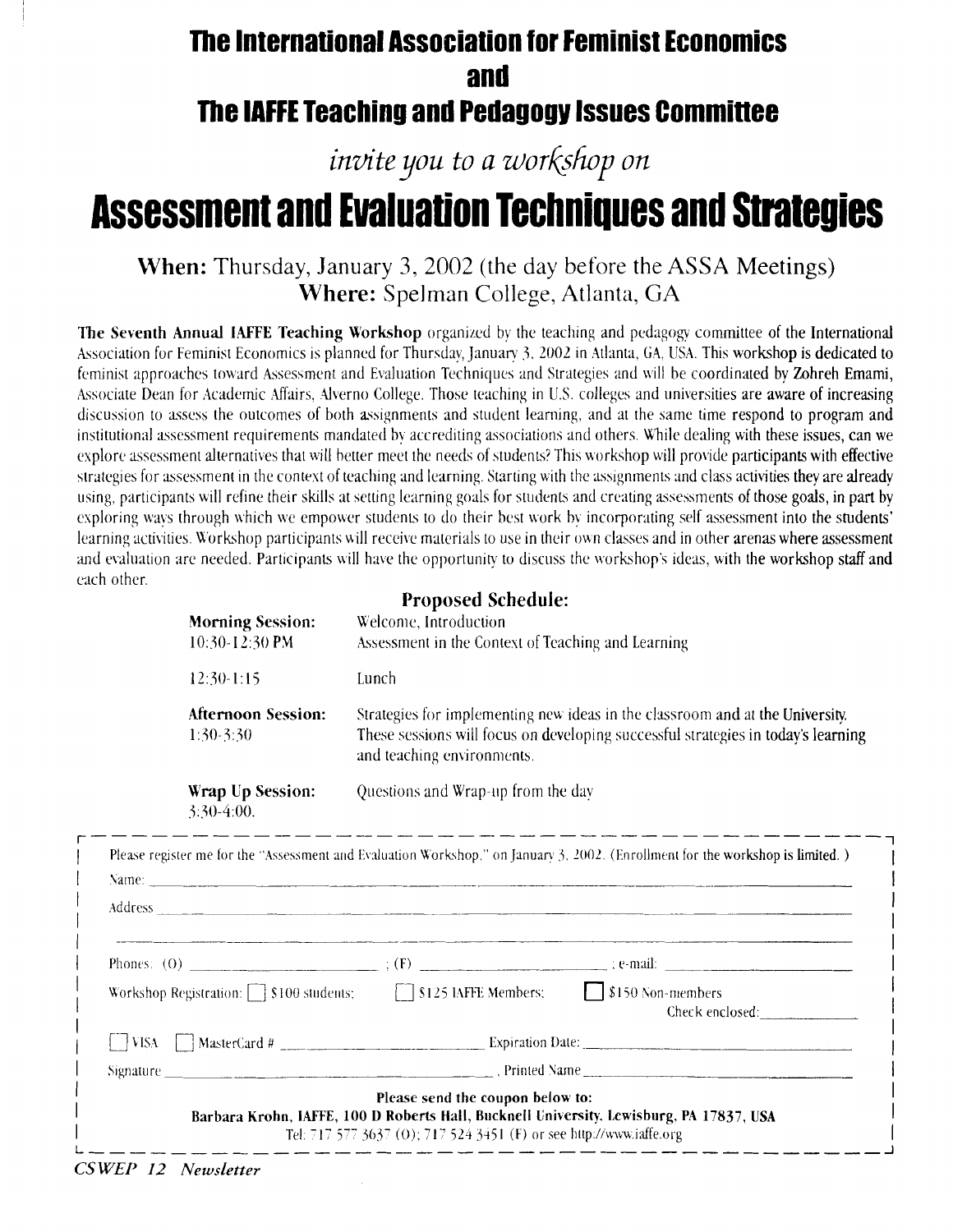### **The International Association for Feminist Economics and**  The IAFFE Teaching and Pedagogy Issues Committee

*invite you to a workshop on* 

# **Assessment and Evaluation Techniques and Strategies**

**When:** Thursday, January **3,** 2002 (the day before the ASSA Meetings) **Where:** Spelman College, Atlanta, GA

**The Seventh Annual IAFFE Teaching Workshop** organized by the teaching and pedagogy committee of the International Association for Feminist Economics is planned for Thursday, January 3, 2002 in Atlanta. GA, USA, This workshop is dedicated to feminist approaches toward Assessment and Evaluation Techniques and Strategies and will be coordinated by Zohreh Emami, Associate Dean for Academic Affairs. Alverno College. Those teaching in U.S. colleges and universities are aware of increasing discussion to assess the outcomes of both assignments and student learning, and at the same time respond to program and institutional assessment requirements mandated by accrediting associations and others. While dealing with these issues, can we explore assessment alternatives that will better meet the needs of students? This workshop will provide participants with effective strategies for assessment in the context of teaching and learning. Starting with the assignments and class activities they are already using, participants will refine their skills at setting learning goals for students and creating assessments of those goals, in part by exploring ways through which we empower students to do their best work by incorporating self assessment into the students' learning activities. Workshop participants will receive materials to use in their own classes and in other arenas where assessment and evaluation are needed. Participants will have the opportunity to discuss the workshop's ideas, with the workshop staff and each other. **Proposed Schedule:** 

| <b>Morning Session:</b><br>10:30-12:30 PM | <b>TTODOSCU SCREUDIC.</b><br>Welcome, Introduction<br>Assessment in the Context of Teaching and Learning                                                                                         |
|-------------------------------------------|--------------------------------------------------------------------------------------------------------------------------------------------------------------------------------------------------|
| $12:30-1:15$                              | Lunch                                                                                                                                                                                            |
| <b>Afternoon Session:</b><br>1:30-3:30    | Strategies for implementing new ideas in the classroom and at the University.<br>These sessions will focus on developing successful strategies in today's learning<br>and teaching environments. |
| Wrap Up Session:<br>$3:30-4:00.$          | Questions and Wrap-up from the day                                                                                                                                                               |

| Name: <u>Communication of the communication</u> control of the communication of the communication of the communication |                                  |                                                                                         |  |
|------------------------------------------------------------------------------------------------------------------------|----------------------------------|-----------------------------------------------------------------------------------------|--|
|                                                                                                                        |                                  |                                                                                         |  |
|                                                                                                                        |                                  |                                                                                         |  |
| Workshop Registration: [ ] \$100 students; [ ] \$125 IAFFE Members; [ ] \$150 Non-members                              |                                  | Check enclosed:                                                                         |  |
|                                                                                                                        |                                  |                                                                                         |  |
|                                                                                                                        |                                  |                                                                                         |  |
|                                                                                                                        | Please send the coupon below to: | Barbara Krohn, IAFFE, 100 D Roberts Hall, Bucknell University, Lewisburg, PA 17837, USA |  |

*CS WEP 12 Newsletter*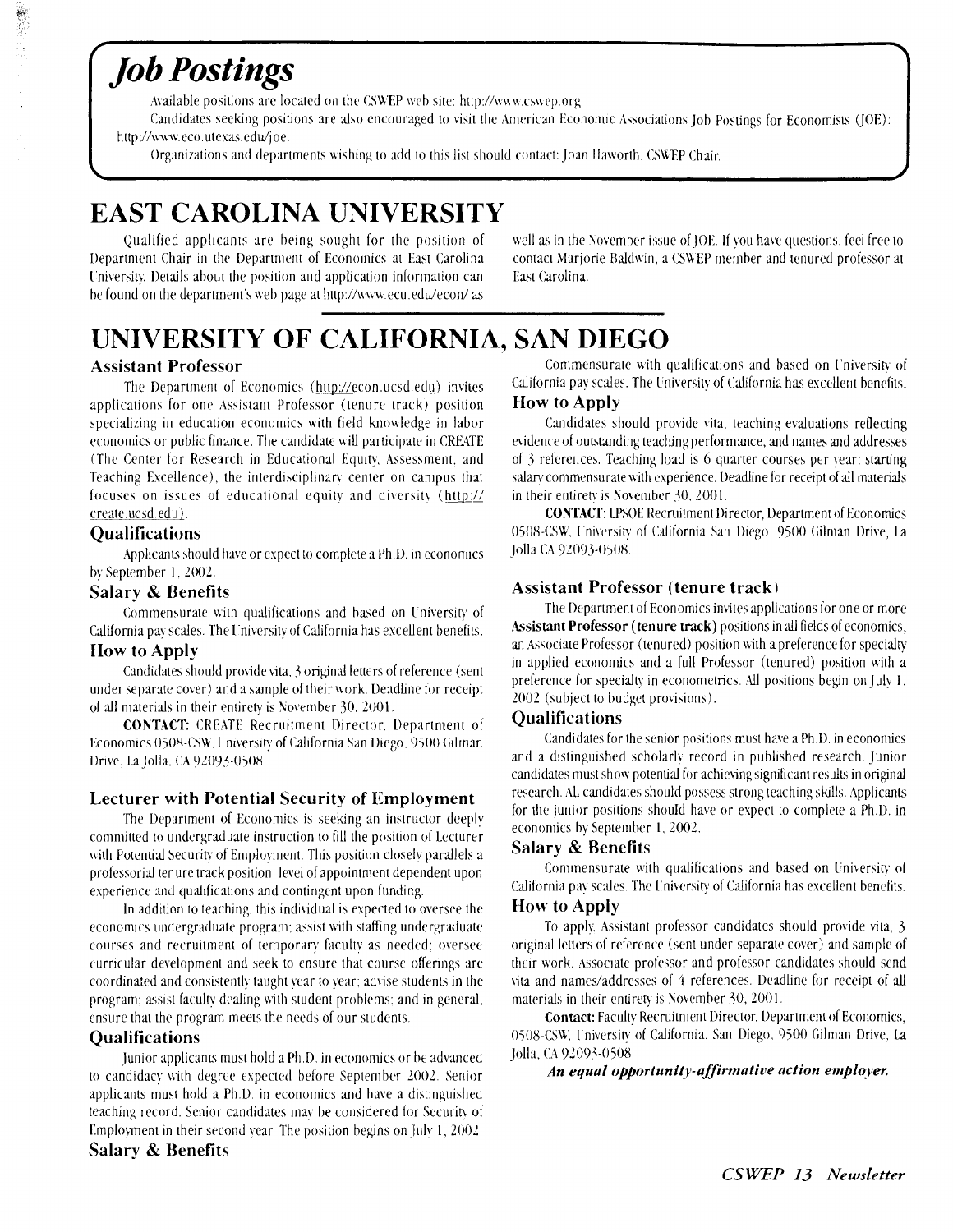# **Job Postings**

· 《 · · · · · · · · ·

Available positions are located on the CSWEP web site: http://www.cswep.org.

Candidates seeking positions are also encouraged to visit the American Economic Associations Job Postings for Economists (JOE): http://www.eco.utexas.edu/joe.

Organizations and departments wishing to add to this list should contact: Joan Haworth, CSWEP Chair.

### **EAST CAROLINA UNIVERSITY**

Qualified applicants are being sought for the position of Department Chair in the Department of Economics at East Carolina University. Details about the position and application information can be found on the department's web page at http://www.ecu.edu/econ/as

well as in the November issue of JOE. If you have questions, feel free to contact Marjorie Baldwin, a CSWEP member and tenured professor at East Carolina.

### UNIVERSITY OF CALIFORNIA, SAN DIEGO

#### **Assistant Professor**

The Department of Economics (http://econ.ucsd.edu) invites applications for one Assistant Professor (tenure track) position specializing in education economics with field knowledge in labor economics or public finance. The candidate will participate in CREATE (The Center for Research in Educational Equity, Assessment, and Teaching Excellence), the interdisciplinary center on campus that focuses on issues of educational equity and diversity (http:// create.ucsd.edu).

#### **Qualifications**

Applicants should have or expect to complete a Ph.D. in economics by September 1, 2002.

#### **Salary & Benefits**

Commensurate with qualifications and based on University of California pay scales. The University of California has excellent benefits.

#### **How to Apply**

Candidates should provide vita, 3 original letters of reference (sent under separate cover) and a sample of their work. Deadline for receipt of all materials in their entirety is November 30, 2001.

**CONTACT:** CREATE Recruitment Director, Department of Economics 0508-CSW, University of California San Diego, 9500 Gilman Drive, La Jolla. CA 92093-0508

#### **Lecturer with Potential Security of Employment**

The Department of Economics is seeking an instructor deeply committed to undergraduate instruction to fill the position of Lecturer with Potential Security of Employment. This position closely parallels a professorial tenure track position; level of appointment dependent upon experience and qualifications and contingent upon funding.

In addition to teaching, this individual is expected to oversee the economics undergraduate program; assist with staffing undergraduate courses and recruitment of temporary faculty as needed; oversee curricular development and seek to ensure that course offerings are coordinated and consistently taught year to year; advise students in the program; assist faculty dealing with student problems; and in general, ensure that the program meets the needs of our students.

#### **Qualifications**

Junior applicants must hold a Ph.D. in economics or be advanced to candidacy with degree expected before September 2002. Senior applicants must hold a Ph.D. in economics and have a distinguished teaching record. Senior candidates may be considered for Security of Employment in their second year. The position begins on July 1, 2002.

Commensurate with qualifications and based on University of California pay scales. The University of California has excellent benefits. **How to Apply** 

Candidates should provide vita, teaching evaluations reflecting evidence of outstanding teaching performance, and names and addresses of 3 references. Teaching load is 6 quarter courses per vear: starting salary commensurate with experience. Deadline for receipt of all materials in their entirety is November 30, 2001.

**CONTACT:** LPSOE Recruitment Director, Department of Economics 0508-CSW, University of California San Diego, 9500 Gilman Drive, La Jolla CA 92093-0508.

#### **Assistant Professor (tenure track)**

The Department of Economics invites applications for one or more Assistant Professor (tenure track) positions in all fields of economics, an Associate Professor (tenured) position with a preference for specialty in applied economics and a full Professor (tenured) position with a preference for specialty in econometrics. All positions begin on July 1, 2002 (subject to budget provisions).

#### **Oualifications**

Candidates for the senior positions must have a Ph.D. in economics and a distinguished scholarly record in published research. Junior candidates must show potential for achieving significant results in original research. All candidates should possess strong teaching skills. Applicants for the junior positions should have or expect to complete a Ph.D. in economics by September 1, 2002.

#### **Salary & Benefits**

Commensurate with qualifications and based on University of California pay scales. The University of California has excellent benefits. **How to Apply** 

To apply, Assistant professor candidates should provide vita, 3 original letters of reference (sent under separate cover) and sample of their work. Associate professor and professor candidates should send vita and names/addresses of 4 references. Deadline for receipt of all materials in their entirety is November 30, 2001

**Contact:** Faculty Recruitment Director. Department of Economics, 0508-CSW, University of California, San Diego, 9500 Gilman Drive, La Jolla, CA 92093-0508

An equal opportunity-affirmative action employer.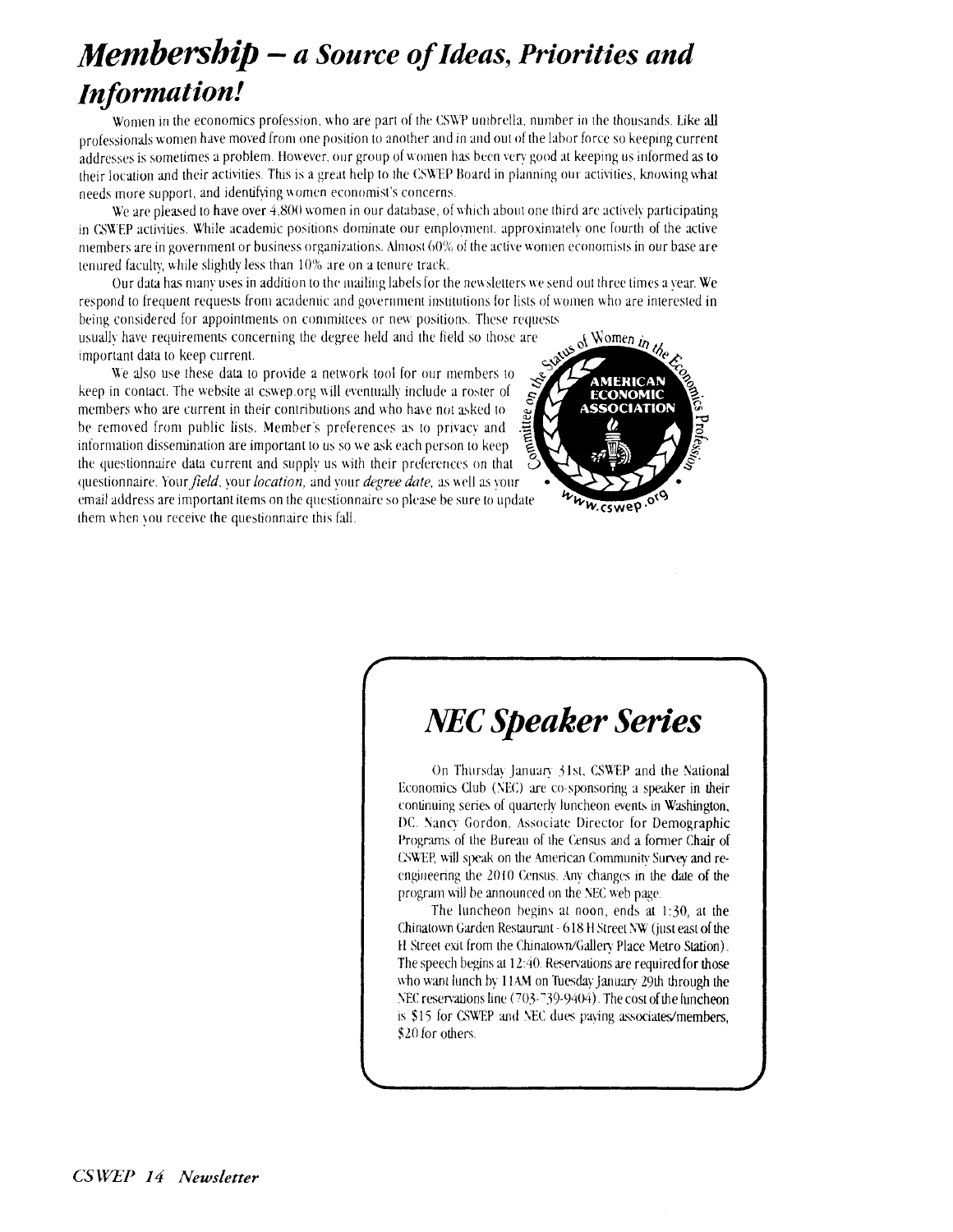# *Membership* - *a Source of Ideas, Priorities and In formation!*

Women in the economics profession, who are part of the CSWP umbrella, number in the thousands. Like all professionals women have moved from one position to another and in and out of the labor force so keeping current addresses is sometimes a problem. However, our group of women has been very good at keeping us informed as to their location and their activities. This is a great help to the CSWEP Board in planning our activities, knowing what needs more support, and identifying women economist's concerns.

We are pleased to have over 4.800 women in our database, of which about one third are actively participating in (SWEP activities. While academic positions dominate our employment, approximately one fourth of the active members are in government or business organizations. Almost  $60\%$  of the active women economists in our base are tenured faculty, while slightly less than 10% are on a tenure track.

Our data has many uses in addition to the mailing labels for the newsletters we send out three times a year. We respond to frequent requests from academic and government institutions for lists of women who are interested in being considered for appointments on committees or new positions. These requests

usually have requirements concerning the degree held and the field so those are important data to keep current.

We also use these data to provide a network tool for our members to keep in contact. The website at cswep.org will eventually include a roster of members who are current in their contributions and who have not asked to be removed from public lists. Member's preferences as to privacy and information dissemination are important to us so we ask each person to keep the questionnaire data current and supply us with their preferences on that questionnaire. Your *field*, your *location*, and your *degree date*, as well as your email address are important items on rhe questionnaire so please he sure to update them when you receive the questionnaire this fall.



# *MC Speaker Series*

On Thursday January 31st, CSWEP and the National Economics Club (NEC) are co-sponsoring a speaker in their continuing series of quarterly luncheon events in Washington, DC. Nancy Gordon, Associate Director for Demographic Programs of the Bureau of the Census and a former Chair of CWTP, uill speak on he herican Community Survey and reengineering the 2010 Census. Any changes in the date of the program will be announced on the NEC web page.

The luncheon begins at noon, ends at  $1:30$ , at the Chinatown Garden Restaurmt - 618 H Street **hW** (just eact of the H Street exit from the Chinatown/Gallery Place Metro Station). The speech begins at 12:40. Reservations are required for those who want lunch by I1AM on Tuesday January 29th through the NEC reservations line (703-739-9404). The cost of the luncheon is \$15 for CSWEP and NEC dues paying associates/members, \$20 for others.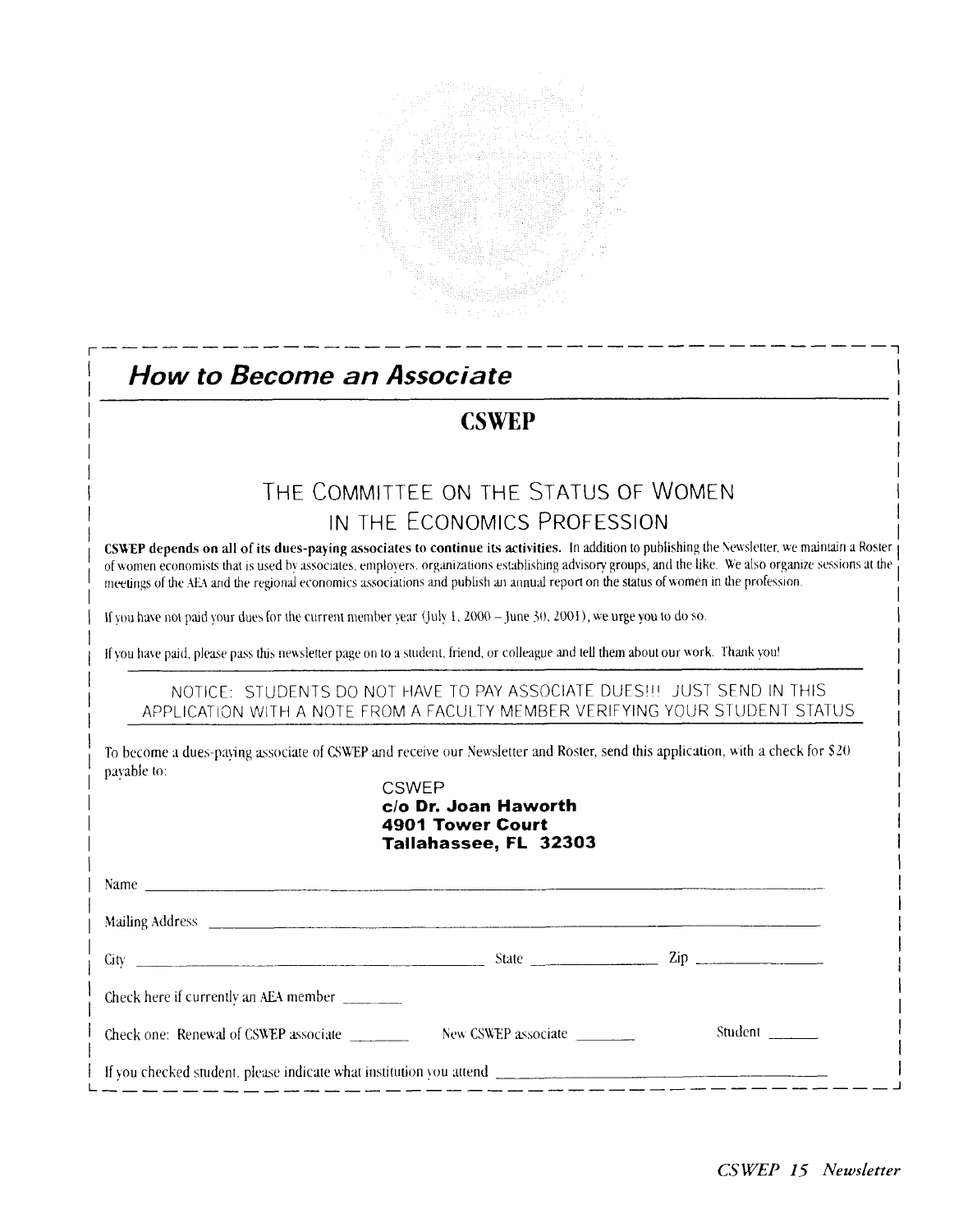

### **How to Become an Associate CSWEP** THE COMMITTEE ON THE STATUS OF WOMEN IN THE ECONOMICS PROFESSION CSWEP depends on all of its dues-paying associates to continue its activities. In addition to publishing the Newsletter, we maintain a Roster of women economists that is used by associates, employers, organizations establishing advisory groups, and the like. We also organize sessions at the meetings of the AEA and the regional economics associations and publish an annual report on the status of women in the profession. If you have not paid your dues for the current member year (July 1, 2000 - June 30, 2001), we urge you to do so. If you have paid, please pass this newsletter page on to a student, friend, or colleague and tell them about our work. Thank you! NOTICE: STUDENTS DO NOT HAVE TO PAY ASSOCIATE DUES !!! JUST SEND IN THIS APPLICATION WITH A NOTE FROM A FACULTY MEMBER VERIFYING YOUR STUDENT STATUS To become a dues-paying associate of CSWEP and receive our Newsletter and Roster, send this application, with a check for \$20 pavable to: **CSWEP** c/o Dr. Joan Haworth **4901 Tower Court** Tallahassee, FL 32303 Name Check here if currently an AEA member \_\_\_\_\_\_\_ Check one: Renewal of CSWEP associate New CSWEP associate \_\_\_\_\_\_\_\_ Student If you checked student, please indicate what institution you attend  $\frac{1}{2}$